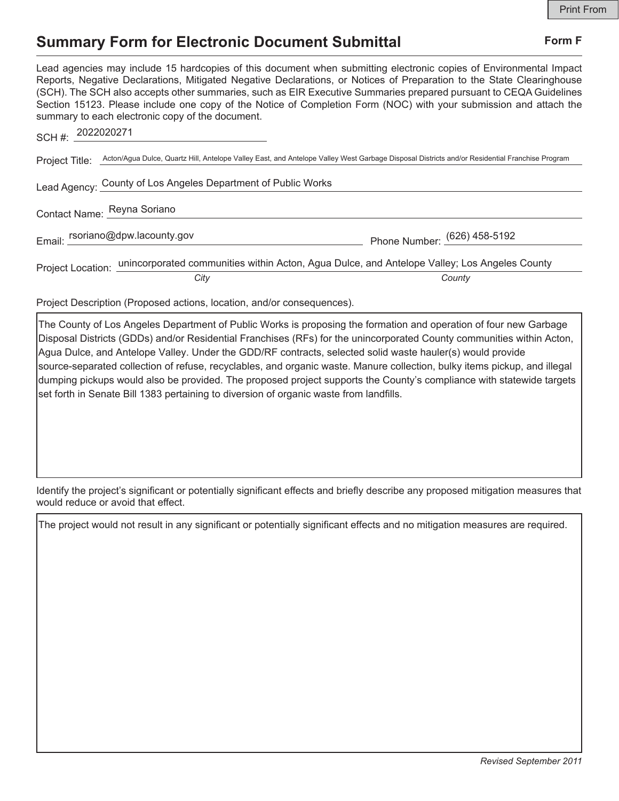## **Summary Form for Electronic Document Submittal Form F Form F**

Lead agencies may include 15 hardcopies of this document when submitting electronic copies of Environmental Impact Reports, Negative Declarations, Mitigated Negative Declarations, or Notices of Preparation to the State Clearinghouse (SCH). The SCH also accepts other summaries, such as EIR Executive Summaries prepared pursuant to CEQA Guidelines Section 15123. Please include one copy of the Notice of Completion Form (NOC) with your submission and attach the summary to each electronic copy of the document.

| 2022020271<br>SCH#:                                           |      |                                                                                                                                               |
|---------------------------------------------------------------|------|-----------------------------------------------------------------------------------------------------------------------------------------------|
| Project Title:                                                |      | Acton/Agua Dulce, Quartz Hill, Antelope Valley East, and Antelope Valley West Garbage Disposal Districts and/or Residential Franchise Program |
| Lead Agency: County of Los Angeles Department of Public Works |      |                                                                                                                                               |
| Contact Name: Reyna Soriano                                   |      |                                                                                                                                               |
| Email: rsoriano@dpw.lacounty.gov                              |      | Phone Number: (626) 458-5192                                                                                                                  |
|                                                               | City | Project Location: unincorporated communities within Acton, Agua Dulce, and Antelope Valley; Los Angeles County<br>County                      |

Project Description (Proposed actions, location, and/or consequences).

The County of Los Angeles Department of Public Works is proposing the formation and operation of four new Garbage Disposal Districts (GDDs) and/or Residential Franchises (RFs) for the unincorporated County communities within Acton, Agua Dulce, and Antelope Valley. Under the GDD/RF contracts, selected solid waste hauler(s) would provide source-separated collection of refuse, recyclables, and organic waste. Manure collection, bulky items pickup, and illegal dumping pickups would also be provided. The proposed project supports the County's compliance with statewide targets set forth in Senate Bill 1383 pertaining to diversion of organic waste from landfills.

Identify the project's significant or potentially significant effects and briefly describe any proposed mitigation measures that would reduce or avoid that effect.

The project would not result in any significant or potentially significant effects and no mitigation measures are required.